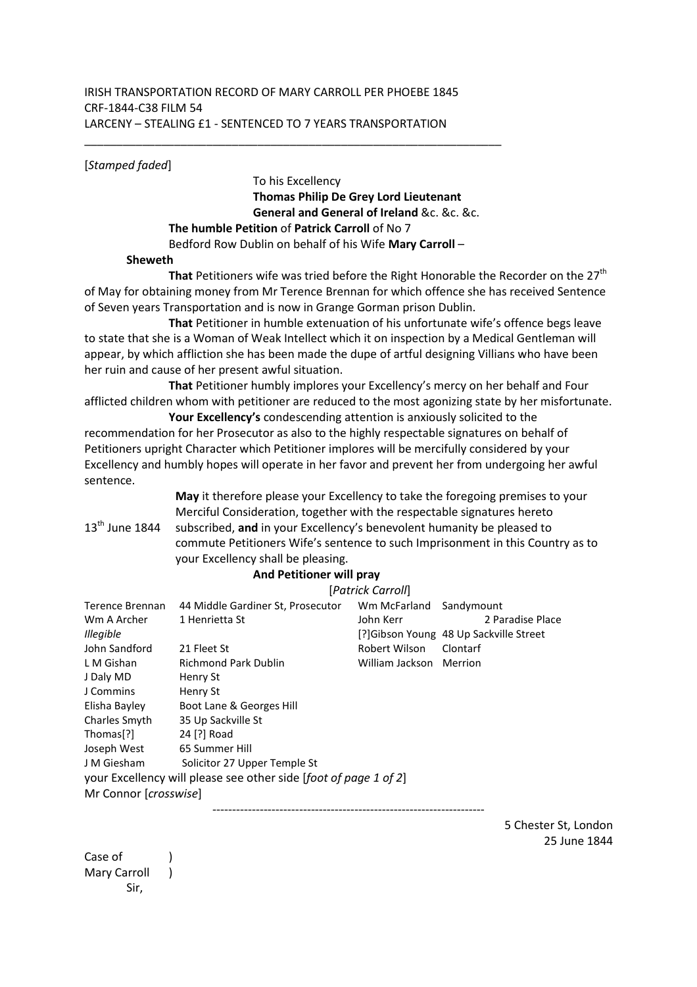## IRISH TRANSPORTATION RECORD OF MARY CARROLL PER PHOEBE 1845 CRF-1844-C38 FILM 54 LARCENY – STEALING £1 - SENTENCED TO 7 YEARS TRANSPORTATION

[*Stamped faded*]

 To his Excellency **Thomas Philip De Grey Lord Lieutenant General and General of Ireland** &c. &c. &c. **The humble Petition** of **Patrick Carroll** of No 7 Bedford Row Dublin on behalf of his Wife **Mary Carroll** –

## **Sheweth**

**That** Petitioners wife was tried before the Right Honorable the Recorder on the 27<sup>th</sup> of May for obtaining money from Mr Terence Brennan for which offence she has received Sentence of Seven years Transportation and is now in Grange Gorman prison Dublin.

**That** Petitioner in humble extenuation of his unfortunate wife's offence begs leave to state that she is a Woman of Weak Intellect which it on inspection by a Medical Gentleman will appear, by which affliction she has been made the dupe of artful designing Villians who have been her ruin and cause of her present awful situation.

**That** Petitioner humbly implores your Excellency's mercy on her behalf and Four afflicted children whom with petitioner are reduced to the most agonizing state by her misfortunate.

**Your Excellency's** condescending attention is anxiously solicited to the recommendation for her Prosecutor as also to the highly respectable signatures on behalf of Petitioners upright Character which Petitioner implores will be mercifully considered by your Excellency and humbly hopes will operate in her favor and prevent her from undergoing her awful sentence.

> **May** it therefore please your Excellency to take the foregoing premises to your Merciful Consideration, together with the respectable signatures hereto subscribed, **and** in your Excellency's benevolent humanity be pleased to commute Petitioners Wife's sentence to such Imprisonment in this Country as to your Excellency shall be pleasing.

## **And Petitioner will pray**

|                                                                  | [Patrick Carroll]                 |                         |                                         |  |  |
|------------------------------------------------------------------|-----------------------------------|-------------------------|-----------------------------------------|--|--|
| Terence Brennan                                                  | 44 Middle Gardiner St, Prosecutor | Wm McFarland            | Sandymount                              |  |  |
| Wm A Archer                                                      | 1 Henrietta St                    | John Kerr               | 2 Paradise Place                        |  |  |
| Illegible                                                        |                                   |                         | [?] Gibson Young 48 Up Sackville Street |  |  |
| John Sandford                                                    | 21 Fleet St                       | Robert Wilson           | Clontarf                                |  |  |
| L M Gishan                                                       | Richmond Park Dublin              | William Jackson Merrion |                                         |  |  |
| J Daly MD                                                        | Henry St                          |                         |                                         |  |  |
| J Commins                                                        | Henry St                          |                         |                                         |  |  |
| Elisha Bayley                                                    | Boot Lane & Georges Hill          |                         |                                         |  |  |
| Charles Smyth                                                    | 35 Up Sackville St                |                         |                                         |  |  |
| Thomas[?]                                                        | 24 [?] Road                       |                         |                                         |  |  |
| Joseph West                                                      | 65 Summer Hill                    |                         |                                         |  |  |
| J M Giesham                                                      | Solicitor 27 Upper Temple St      |                         |                                         |  |  |
| your Excellency will please see other side [foot of page 1 of 2] |                                   |                         |                                         |  |  |
| Mr Connor [crosswise]                                            |                                   |                         |                                         |  |  |
|                                                                  |                                   |                         |                                         |  |  |

5 Chester St, London 25 June 1844

Case of (1) Mary Carroll ) Sir,

 $13<sup>th</sup>$  June 1844